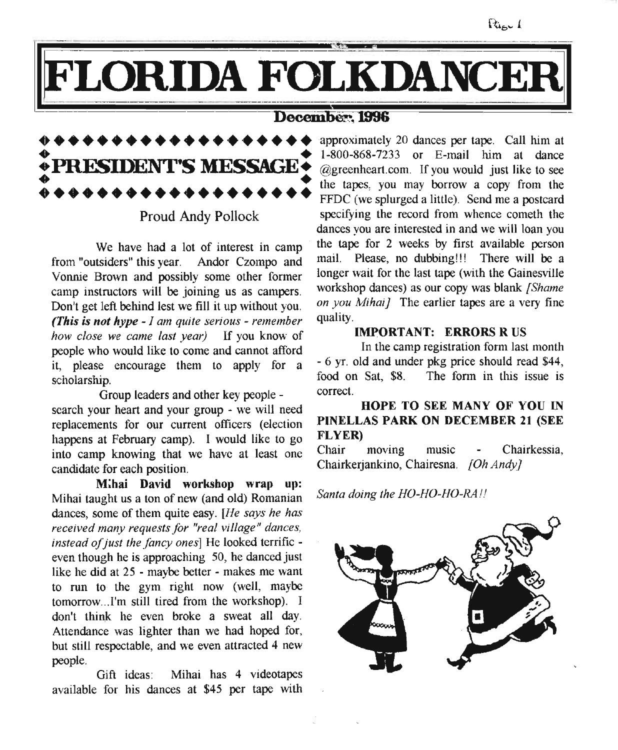## FLORIDA FOLKDANCER

### December: 1996



Proud Andy Pollock

We have had a lot of interest in camp from "outsiders" this year. Andor Czompo and Vonnie Brown and possibly some other former camp instructors will be joining us as campers. Don't get left behind lest we fill it up without you. *(This is not hype - J am quite serious - remember how close* we *came last year)* If you know of people who would like to come and cannot afford it, please encourage them to apply for a scholarship.

Group leaders and other key people search your heart and your group - we will need replacements for our current officers (election happens at February camp). I would like to go into camp knowing that we have at least one candidate for each position.

M;hai David workshop wrap up: Mihai taught us a ton of new (and old) Romanian dances, some of them quite easy. *[He says he has received many requests for "real vi/lage" dances,* instead of just the fancy ones] He looked terrific even though he is approaching 50, he danced just like he did at 25 - maybe better - makes me want to run to the gym right now (well, maybe tomorrow...I'm still tired from the workshop). I don't think he even broke a sweat all day. Attendance was lighter than we had hoped for, but still respectable, and we even attracted 4 new people.

Gift ideas: Mihai has 4 videotapes available for his dances at \$45 per tape with

approximately 20 dances per tape. Call him at 1-800-868-7233 or E-mail him at dance @greenheart.com. If you would just like to see the tapes, you may borrow a copy from the FFDC (we splurged a little). Send me a postcard specifying the record from whence cometh the dances you are interested in and we will loan you the tape for 2 weeks by first available person mail. Please, no dubbing!!! There will be a longer wait for the last tape (with the Gainesville workshop dances) as our copy was blank *{Shame on you Mihaij* The earlier tapes are a very fine quality.

#### IMPORTANT: ERRORS R US

In the camp registration form last month - 6 yr. old and under pkg price should read \$44, food on Sat, \$8. The form in this issue is correct.

#### HOPE TO SEE MANY OF YOU IN PINELLAS PARK ON DECEMBER 21 (SEE FLYER)

Chair moving music Chairkessia, Chairkerjankino, Chairesna. *[Oh Andy]*

*Santa doing the HO-HO-HO-RA!!*



Pige 1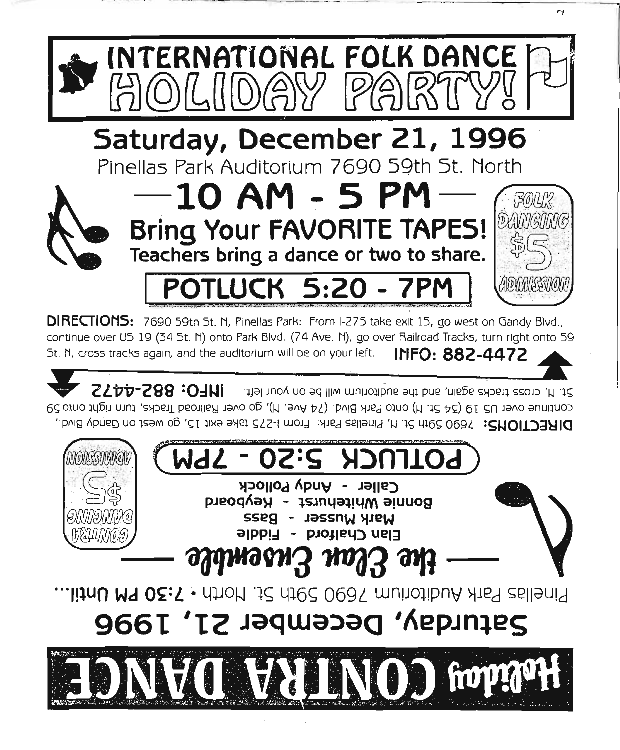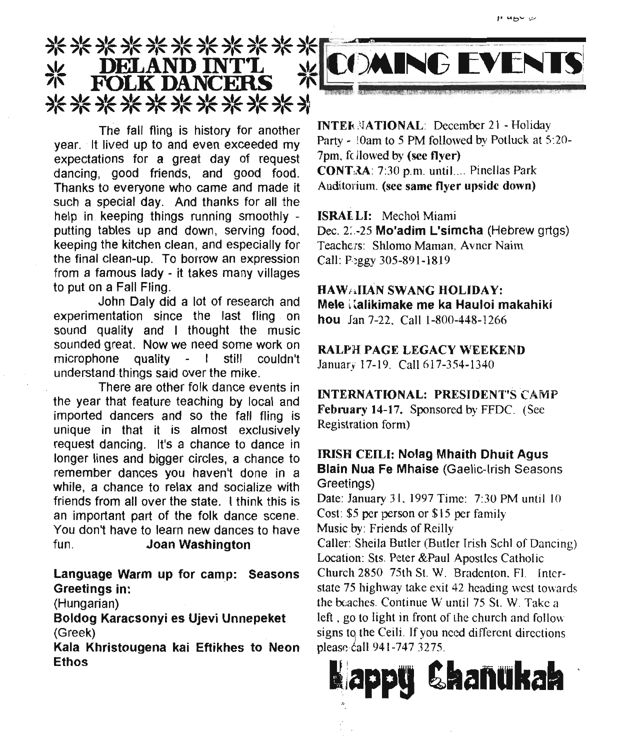

The fall fling is history for another year. It lived up to and even exceeded my expectations for a great day of request dancing, good friends, and good food. Thanks to everyone who came and made it such a special day. And thanks for all the help in keeping things running smoothly putting tables up and down, serving food, keeping the kitchen clean, and especially for the final clean-up. To borrow an expression from a famous lady - it takes many villages to put on a Fall Fling.

John Daly did a lot of research and experimentation since the last fling on sound quality and I thought the music sounded great. Now we need some work on microphone quality - I still couldn't understand things said over the mike.

There are other folk dance events in the year that feature teaching by local and imported dancers and so the fall fling is unique in that it is almost exclusively request dancing. It's a chance to dance in longer lines and bigger circles, a chance to remember dances you haven't done in a while, a chance to relax and socialize with friends from all over the state. I think this is an important part of the folk dance scene. You don't have to learn new dances to have fun. Joan Washington

Language Warm up for camp: Seasons Greetings in:

(Hungarian)

Boldog Karacsonyi es Ujevi Unnepeket (Greek)

Kala Khristougena kai Eftikhes to Neon Ethos



INTER NATIONAL: December 21 - Holiday Party - 10am to 5 PM followed by Potluck at 5:20-7pm, fc llowed by (see flyer) CONT;3A: 7:30 p.m. until.... Pinellas Park Auditorium. (see same flyer upside down)

ISRALLI: Mechol Miami

Dec. 2:.-25 Mo'adim L'simcha (Hebrew grtgs) Teachers: Shlomo Maman, Avner Nairn CalI: Peggy 305-891-1819

HAW<sub>fi</sub>llan SWANG HOLIDAY: Mele Kalikimake me ka Hauloi makahiki hou Jan 7-22. Call 1-800-448-1266

RALPH PAGE LEGACY WEEKEND January 17-19. Call 617-354-1340

INTERNATIONAL: PRESIDENT'S CAMP February 14-17. Sponsored by FFDC. (See Registration form)

IRISH CElLI: Nolag Mhaith Dhuit Agus Blain Nua Fe Mhaise (Gaelic-Irish Seasons Greetings)

Date: January 31, 1997 Time: 7:30 PM until 10 Cost: \$5 per person or \$15 per family Music by: Friends of Reilly

CalIer: Sheila Butler (Butler Irish Schl of Dancing) Location: Sts. Peter &Paul Apostles Catholic Church 2850 75th St. W. Bradenton. F1. Interstate 75 highway take exit 42 heading west towards the beaches.Continue W until 75 St. W. Take a left, go to light in front of the church and follow signs to the Ceili. If you need different directions please call 941-747 3275.